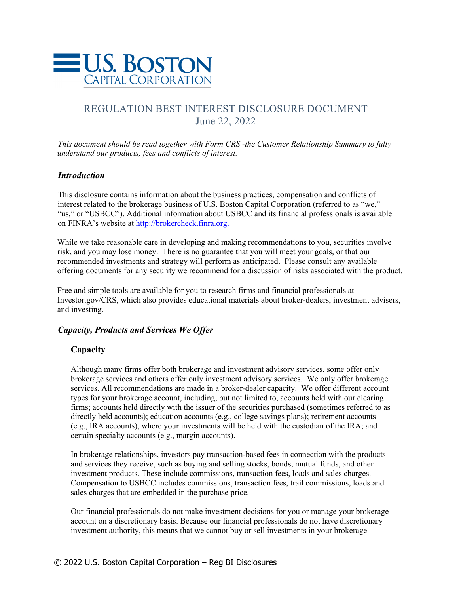

# REGULATION BEST INTEREST DISCLOSURE DOCUMENT June 22, 2022

*This document should be read together with Form CRS -the Customer Relationship Summary to fully understand our products, fees and conflicts of interest.* 

# *Introduction*

This disclosure contains information about the business practices, compensation and conflicts of interest related to the brokerage business of U.S. Boston Capital Corporation (referred to as "we," "us," or "USBCC"). Additional information about USBCC and its financial professionals is available on FINRA's website at http://brokercheck.finra.org.

While we take reasonable care in developing and making recommendations to you, securities involve risk, and you may lose money. There is no guarantee that you will meet your goals, or that our recommended investments and strategy will perform as anticipated. Please consult any available offering documents for any security we recommend for a discussion of risks associated with the product.

Free and simple tools are available for you to research firms and financial professionals at Investor.gov/CRS, which also provides educational materials about broker-dealers, investment advisers, and investing.

# *Capacity, Products and Services We Offer*

# **Capacity**

Although many firms offer both brokerage and investment advisory services, some offer only brokerage services and others offer only investment advisory services. We only offer brokerage services. All recommendations are made in a broker-dealer capacity. We offer different account types for your brokerage account, including, but not limited to, accounts held with our clearing firms; accounts held directly with the issuer of the securities purchased (sometimes referred to as directly held accounts); education accounts (e.g., college savings plans); retirement accounts (e.g., IRA accounts), where your investments will be held with the custodian of the IRA; and certain specialty accounts (e.g., margin accounts).

In brokerage relationships, investors pay transaction-based fees in connection with the products and services they receive, such as buying and selling stocks, bonds, mutual funds, and other investment products. These include commissions, transaction fees, loads and sales charges. Compensation to USBCC includes commissions, transaction fees, trail commissions, loads and sales charges that are embedded in the purchase price.

Our financial professionals do not make investment decisions for you or manage your brokerage account on a discretionary basis. Because our financial professionals do not have discretionary investment authority, this means that we cannot buy or sell investments in your brokerage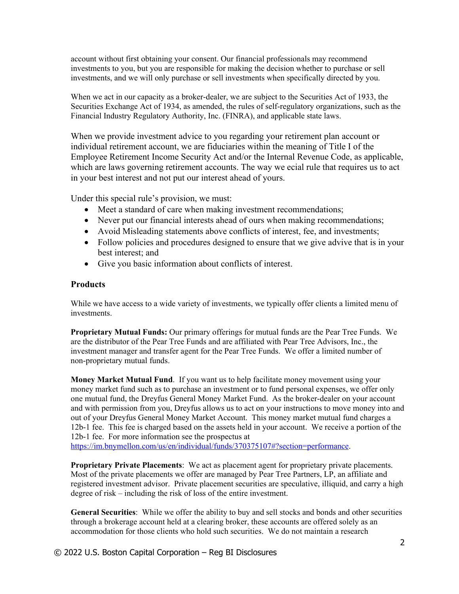account without first obtaining your consent. Our financial professionals may recommend investments to you, but you are responsible for making the decision whether to purchase or sell investments, and we will only purchase or sell investments when specifically directed by you.

When we act in our capacity as a broker-dealer, we are subject to the Securities Act of 1933, the Securities Exchange Act of 1934, as amended, the rules of self-regulatory organizations, such as the Financial Industry Regulatory Authority, Inc. (FINRA), and applicable state laws.

When we provide investment advice to you regarding your retirement plan account or individual retirement account, we are fiduciaries within the meaning of Title I of the Employee Retirement Income Security Act and/or the Internal Revenue Code, as applicable, which are laws governing retirement accounts. The way we ecial rule that requires us to act in your best interest and not put our interest ahead of yours.

Under this special rule's provision, we must:

- Meet a standard of care when making investment recommendations;
- Never put our financial interests ahead of ours when making recommendations;
- Avoid Misleading statements above conflicts of interest, fee, and investments;
- Follow policies and procedures designed to ensure that we give advive that is in your best interest; and
- Give you basic information about conflicts of interest.

# **Products**

While we have access to a wide variety of investments, we typically offer clients a limited menu of investments.

**Proprietary Mutual Funds:** Our primary offerings for mutual funds are the Pear Tree Funds.We are the distributor of the Pear Tree Funds and are affiliated with Pear Tree Advisors, Inc., the investment manager and transfer agent for the Pear Tree Funds. We offer a limited number of non-proprietary mutual funds.

**Money Market Mutual Fund**. If you want us to help facilitate money movement using your money market fund such as to purchase an investment or to fund personal expenses, we offer only one mutual fund, the Dreyfus General Money Market Fund. As the broker-dealer on your account and with permission from you, Dreyfus allows us to act on your instructions to move money into and out of your Dreyfus General Money Market Account. This money market mutual fund charges a 12b-1 fee. This fee is charged based on the assets held in your account. We receive a portion of the 12b-1 fee. For more information see the prospectus at

https://im.bnymellon.com/us/en/individual/funds/370375107#?section=performance.

**Proprietary Private Placements**: We act as placement agent for proprietary private placements. Most of the private placements we offer are managed by Pear Tree Partners, LP, an affiliate and registered investment advisor. Private placement securities are speculative, illiquid, and carry a high degree of risk – including the risk of loss of the entire investment.

**General Securities**: While we offer the ability to buy and sell stocks and bonds and other securities through a brokerage account held at a clearing broker, these accounts are offered solely as an accommodation for those clients who hold such securities. We do not maintain a research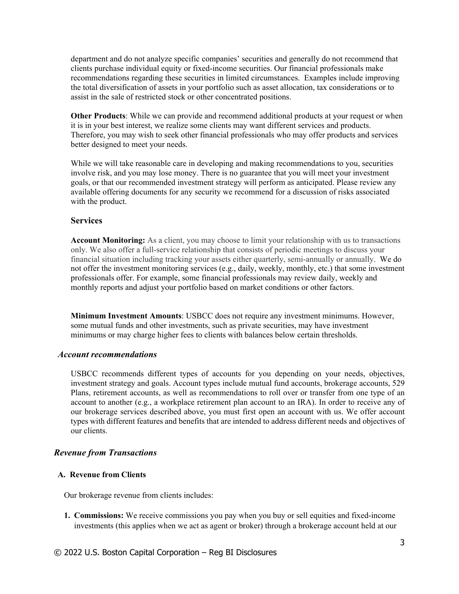department and do not analyze specific companies' securities and generally do not recommend that clients purchase individual equity or fixed-income securities. Our financial professionals make recommendations regarding these securities in limited circumstances. Examples include improving the total diversification of assets in your portfolio such as asset allocation, tax considerations or to assist in the sale of restricted stock or other concentrated positions.

**Other Products**: While we can provide and recommend additional products at your request or when it is in your best interest, we realize some clients may want different services and products. Therefore, you may wish to seek other financial professionals who may offer products and services better designed to meet your needs.

While we will take reasonable care in developing and making recommendations to you, securities involve risk, and you may lose money. There is no guarantee that you will meet your investment goals, or that our recommended investment strategy will perform as anticipated. Please review any available offering documents for any security we recommend for a discussion of risks associated with the product.

### **Services**

**Account Monitoring:** As a client, you may choose to limit your relationship with us to transactions only. We also offer a full-service relationship that consists of periodic meetings to discuss your financial situation including tracking your assets either quarterly, semi-annually or annually. We do not offer the investment monitoring services (e.g., daily, weekly, monthly, etc.) that some investment professionals offer. For example, some financial professionals may review daily, weekly and monthly reports and adjust your portfolio based on market conditions or other factors.

**Minimum Investment Amounts**: USBCC does not require any investment minimums. However, some mutual funds and other investments, such as private securities, may have investment minimums or may charge higher fees to clients with balances below certain thresholds.

#### *Account recommendations*

USBCC recommends different types of accounts for you depending on your needs, objectives, investment strategy and goals. Account types include mutual fund accounts, brokerage accounts, 529 Plans, retirement accounts, as well as recommendations to roll over or transfer from one type of an account to another (e.g., a workplace retirement plan account to an IRA). In order to receive any of our brokerage services described above, you must first open an account with us. We offer account types with different features and benefits that are intended to address different needs and objectives of our clients.

#### *Revenue from Transactions*

#### **A. Revenue from Clients**

Our brokerage revenue from clients includes:

**1. Commissions:** We receive commissions you pay when you buy or sell equities and fixed-income investments (this applies when we act as agent or broker) through a brokerage account held at our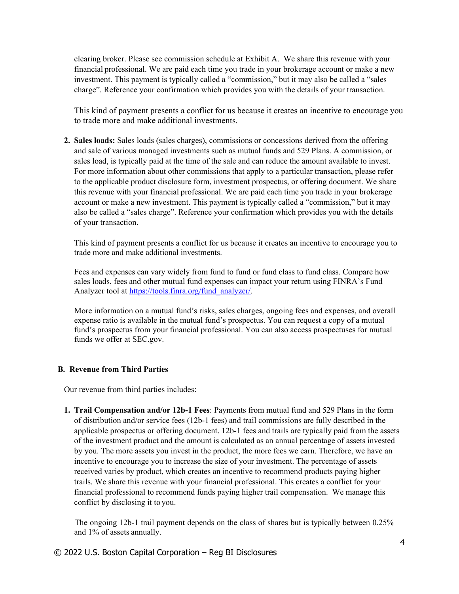clearing broker. Please see commission schedule at Exhibit A. We share this revenue with your financial professional. We are paid each time you trade in your brokerage account or make a new investment. This payment is typically called a "commission," but it may also be called a "sales charge". Reference your confirmation which provides you with the details of your transaction.

This kind of payment presents a conflict for us because it creates an incentive to encourage you to trade more and make additional investments.

**2. Sales loads:** Sales loads (sales charges), commissions or concessions derived from the offering and sale of various managed investments such as mutual funds and 529 Plans. A commission, or sales load, is typically paid at the time of the sale and can reduce the amount available to invest. For more information about other commissions that apply to a particular transaction, please refer to the applicable product disclosure form, investment prospectus, or offering document. We share this revenue with your financial professional. We are paid each time you trade in your brokerage account or make a new investment. This payment is typically called a "commission," but it may also be called a "sales charge". Reference your confirmation which provides you with the details of your transaction.

This kind of payment presents a conflict for us because it creates an incentive to encourage you to trade more and make additional investments.

Fees and expenses can vary widely from fund to fund or fund class to fund class. Compare how sales loads, fees and other mutual fund expenses can impact your return using FINRA's Fund Analyzer tool at https://tools.finra.org/fund\_analyzer/.

More information on a mutual fund's risks, sales charges, ongoing fees and expenses, and overall expense ratio is available in the mutual fund's prospectus. You can request a copy of a mutual fund's prospectus from your financial professional. You can also access prospectuses for mutual funds we offer at SEC.gov.

### **B. Revenue from Third Parties**

Our revenue from third parties includes:

**1. Trail Compensation and/or 12b-1 Fees**: Payments from mutual fund and 529 Plans in the form of distribution and/or service fees (12b-1 fees) and trail commissions are fully described in the applicable prospectus or offering document. 12b-1 fees and trails are typically paid from the assets of the investment product and the amount is calculated as an annual percentage of assets invested by you. The more assets you invest in the product, the more fees we earn. Therefore, we have an incentive to encourage you to increase the size of your investment. The percentage of assets received varies by product, which creates an incentive to recommend products paying higher trails. We share this revenue with your financial professional. This creates a conflict for your financial professional to recommend funds paying higher trail compensation. We manage this conflict by disclosing it to you.

The ongoing 12b-1 trail payment depends on the class of shares but is typically between 0.25% and 1% of assets annually.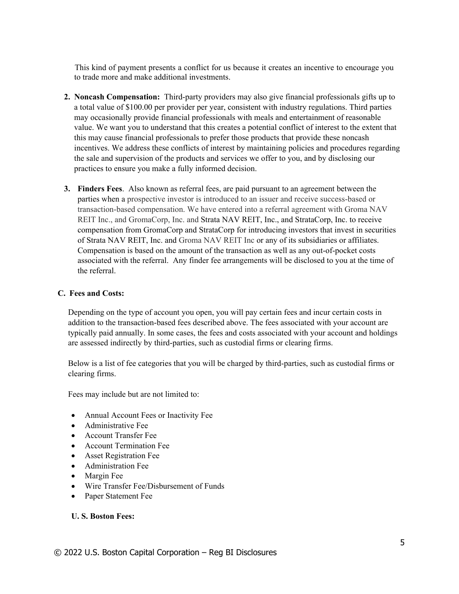This kind of payment presents a conflict for us because it creates an incentive to encourage you to trade more and make additional investments.

- **2. Noncash Compensation:** Third-party providers may also give financial professionals gifts up to a total value of \$100.00 per provider per year, consistent with industry regulations. Third parties may occasionally provide financial professionals with meals and entertainment of reasonable value. We want you to understand that this creates a potential conflict of interest to the extent that this may cause financial professionals to prefer those products that provide these noncash incentives. We address these conflicts of interest by maintaining policies and procedures regarding the sale and supervision of the products and services we offer to you, and by disclosing our practices to ensure you make a fully informed decision.
- **3. Finders Fees**. Also known as referral fees, are paid pursuant to an agreement between the parties when a prospective investor is introduced to an issuer and receive success-based or transaction-based compensation. We have entered into a referral agreement with Groma NAV REIT Inc., and GromaCorp, Inc. and Strata NAV REIT, Inc., and StrataCorp, Inc. to receive compensation from GromaCorp and StrataCorp for introducing investors that invest in securities of Strata NAV REIT, Inc. and Groma NAV REIT Inc or any of its subsidiaries or affiliates. Compensation is based on the amount of the transaction as well as any out-of-pocket costs associated with the referral. Any finder fee arrangements will be disclosed to you at the time of the referral.

### **C. Fees and Costs:**

Depending on the type of account you open, you will pay certain fees and incur certain costs in addition to the transaction-based fees described above. The fees associated with your account are typically paid annually. In some cases, the fees and costs associated with your account and holdings are assessed indirectly by third-parties, such as custodial firms or clearing firms.

Below is a list of fee categories that you will be charged by third-parties, such as custodial firms or clearing firms.

Fees may include but are not limited to:

- Annual Account Fees or Inactivity Fee
- Administrative Fee
- Account Transfer Fee
- Account Termination Fee
- Asset Registration Fee
- Administration Fee
- Margin Fee
- Wire Transfer Fee/Disbursement of Funds
- Paper Statement Fee

### **U. S. Boston Fees:**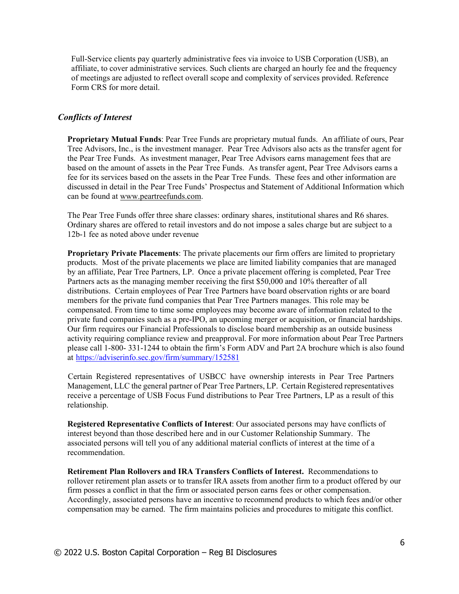Full-Service clients pay quarterly administrative fees via invoice to USB Corporation (USB), an affiliate, to cover administrative services. Such clients are charged an hourly fee and the frequency of meetings are adjusted to reflect overall scope and complexity of services provided. Reference Form CRS for more detail.

### *Conflicts of Interest*

**Proprietary Mutual Funds**: Pear Tree Funds are proprietary mutual funds. An affiliate of ours, Pear Tree Advisors, Inc., is the investment manager. Pear Tree Advisors also acts as the transfer agent for the Pear Tree Funds. As investment manager, Pear Tree Advisors earns management fees that are based on the amount of assets in the Pear Tree Funds. As transfer agent, Pear Tree Advisors earns a fee for its services based on the assets in the Pear Tree Funds. These fees and other information are discussed in detail in the Pear Tree Funds' Prospectus and Statement of Additional Information which can be found at www.peartreefunds.com.

The Pear Tree Funds offer three share classes: ordinary shares, institutional shares and R6 shares. Ordinary shares are offered to retail investors and do not impose a sales charge but are subject to a 12b-1 fee as noted above under revenue

**Proprietary Private Placements**: The private placements our firm offers are limited to proprietary products. Most of the private placements we place are limited liability companies that are managed by an affiliate, Pear Tree Partners, LP. Once a private placement offering is completed, Pear Tree Partners acts as the managing member receiving the first \$50,000 and 10% thereafter of all distributions. Certain employees of Pear Tree Partners have board observation rights or are board members for the private fund companies that Pear Tree Partners manages. This role may be compensated. From time to time some employees may become aware of information related to the private fund companies such as a pre-IPO, an upcoming merger or acquisition, or financial hardships. Our firm requires our Financial Professionals to disclose board membership as an outside business activity requiring compliance review and preapproval. For more information about Pear Tree Partners please call 1-800- 331-1244 to obtain the firm's Form ADV and Part 2A brochure which is also found at https://adviserinfo.sec.gov/firm/summary/152581

Certain Registered representatives of USBCC have ownership interests in Pear Tree Partners Management, LLC the general partner of Pear Tree Partners, LP. Certain Registered representatives receive a percentage of USB Focus Fund distributions to Pear Tree Partners, LP as a result of this relationship.

**Registered Representative Conflicts of Interest**: Our associated persons may have conflicts of interest beyond than those described here and in our Customer Relationship Summary. The associated persons will tell you of any additional material conflicts of interest at the time of a recommendation.

**Retirement Plan Rollovers and IRA Transfers Conflicts of Interest.** Recommendations to rollover retirement plan assets or to transfer IRA assets from another firm to a product offered by our firm posses a conflict in that the firm or associated person earns fees or other compensation. Accordingly, associated persons have an incentive to recommend products to which fees and/or other compensation may be earned. The firm maintains policies and procedures to mitigate this conflict.